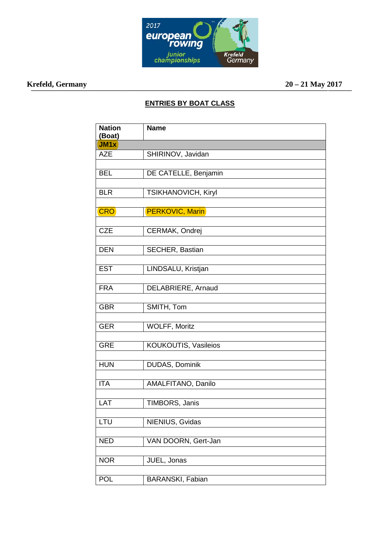

## **Krefeld, Germany 20 – 21 May 2017**

 $20 - 21$  May  $2017$ 

## **ENTRIES BY BOAT CLASS**

| <b>Nation</b><br>(Boat) | <b>Name</b>            |
|-------------------------|------------------------|
| JM <sub>1x</sub>        |                        |
| <b>AZE</b>              | SHIRINOV, Javidan      |
|                         |                        |
| <b>BEL</b>              | DE CATELLE, Benjamin   |
|                         |                        |
| <b>BLR</b>              | TSIKHANOVICH, Kiryl    |
|                         |                        |
| <b>CRO</b>              | <b>PERKOVIC, Marin</b> |
|                         |                        |
| <b>CZE</b>              | CERMAK, Ondrej         |
|                         |                        |
| <b>DEN</b>              | SECHER, Bastian        |
| <b>EST</b>              | LINDSALU, Kristjan     |
|                         |                        |
| <b>FRA</b>              | DELABRIERE, Arnaud     |
|                         |                        |
| <b>GBR</b>              | SMITH, Tom             |
|                         |                        |
| <b>GER</b>              | <b>WOLFF, Moritz</b>   |
|                         |                        |
| <b>GRE</b>              | KOUKOUTIS, Vasileios   |
|                         |                        |
| <b>HUN</b>              | DUDAS, Dominik         |
|                         |                        |
| <b>ITA</b>              | AMALFITANO, Danilo     |
|                         |                        |
| LAT                     | TIMBORS, Janis         |
| LTU                     | NIENIUS, Gvidas        |
|                         |                        |
| <b>NED</b>              | VAN DOORN, Gert-Jan    |
|                         |                        |
| <b>NOR</b>              | JUEL, Jonas            |
|                         |                        |
| <b>POL</b>              | BARANSKI, Fabian       |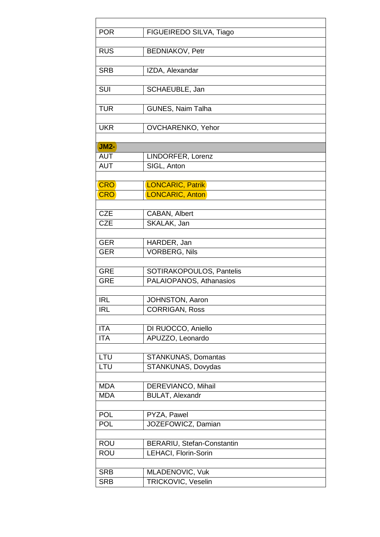| <b>POR</b>               | FIGUEIREDO SILVA, Tiago             |
|--------------------------|-------------------------------------|
| <b>RUS</b>               | <b>BEDNIAKOV, Petr</b>              |
| <b>SRB</b>               | IZDA, Alexandar                     |
| SUI                      | SCHAEUBLE, Jan                      |
| <b>TUR</b>               | GUNES, Naim Talha                   |
| <b>UKR</b>               | OVCHARENKO, Yehor                   |
| <b>JM2-</b>              |                                     |
| <b>AUT</b>               | LINDORFER, Lorenz                   |
| <b>AUT</b>               | SIGL, Anton                         |
|                          |                                     |
| <b>CRO</b><br><b>CRO</b> | LONCARIC, Patrik<br>LONCARIC, Anton |
|                          |                                     |
| <b>CZE</b>               | CABAN, Albert                       |
| <b>CZE</b>               | SKALAK, Jan                         |
|                          |                                     |
| <b>GER</b>               | HARDER, Jan                         |
| <b>GER</b>               | <b>VORBERG, Nils</b>                |
| <b>GRE</b>               | SOTIRAKOPOULOS, Pantelis            |
| <b>GRE</b>               | PALAIOPANOS, Athanasios             |
|                          |                                     |
| <b>IRL</b>               | <b>JOHNSTON, Aaron</b>              |
| IRL                      | <b>CORRIGAN, Ross</b>               |
|                          |                                     |
| <b>ITA</b>               | DI RUOCCO, Aniello                  |
| <b>ITA</b>               | APUZZO, Leonardo                    |
|                          |                                     |
| LTU<br>LTU               | <b>STANKUNAS, Domantas</b>          |
|                          | STANKUNAS, Dovydas                  |
| <b>MDA</b>               | DEREVIANCO, Mihail                  |
| <b>MDA</b>               | <b>BULAT, Alexandr</b>              |
|                          |                                     |
| <b>POL</b>               | PYZA, Pawel                         |
| <b>POL</b>               | JOZEFOWICZ, Damian                  |
|                          |                                     |
| <b>ROU</b>               | BERARIU, Stefan-Constantin          |
| <b>ROU</b>               | LEHACI, Florin-Sorin                |
|                          |                                     |
| <b>SRB</b>               | MLADENOVIC, Vuk                     |
| <b>SRB</b>               | TRICKOVIC, Veselin                  |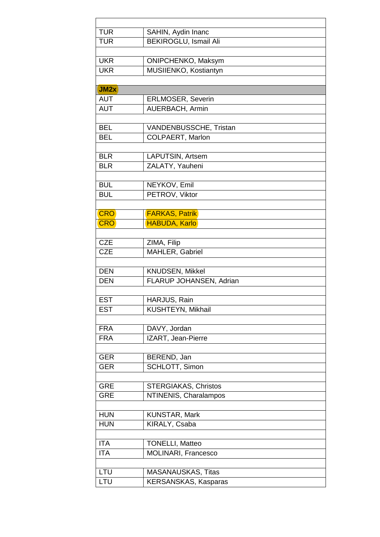| <b>TUR</b> | SAHIN, Aydin Inanc           |
|------------|------------------------------|
| <b>TUR</b> | <b>BEKIROGLU, Ismail Ali</b> |
|            |                              |
| <b>UKR</b> | ONIPCHENKO, Maksym           |
| <b>UKR</b> | MUSIIENKO, Kostiantyn        |
|            |                              |
| JM2x       |                              |
| <b>AUT</b> | <b>ERLMOSER, Severin</b>     |
| <b>AUT</b> | <b>AUERBACH, Armin</b>       |
|            |                              |
| <b>BEL</b> | VANDENBUSSCHE, Tristan       |
| <b>BEL</b> | <b>COLPAERT, Marlon</b>      |
|            |                              |
| <b>BLR</b> | LAPUTSIN, Artsem             |
| <b>BLR</b> | ZALATY, Yauheni              |
|            |                              |
| <b>BUL</b> | NEYKOV, Emil                 |
| <b>BUL</b> | PETROV, Viktor               |
|            |                              |
| <b>CRO</b> | <b>FARKAS, Patrik</b>        |
| <b>CRO</b> | <b>HABUDA, Karlo</b>         |
|            |                              |
| <b>CZE</b> | ZIMA, Filip                  |
| <b>CZE</b> | MAHLER, Gabriel              |
|            |                              |
| <b>DEN</b> | KNUDSEN, Mikkel              |
| <b>DEN</b> | FLARUP JOHANSEN, Adrian      |
|            |                              |
| <b>EST</b> | HARJUS, Rain                 |
| <b>EST</b> | KUSHTEYN, Mikhail            |
|            |                              |
| <b>FRA</b> | DAVY, Jordan                 |
| <b>FRA</b> | IZART, Jean-Pierre           |
|            |                              |
| <b>GER</b> | BEREND, Jan                  |
| <b>GER</b> | SCHLOTT, Simon               |
|            |                              |
| <b>GRE</b> | <b>STERGIAKAS, Christos</b>  |
| <b>GRE</b> | NTINENIS, Charalampos        |
|            |                              |
| <b>HUN</b> | KUNSTAR, Mark                |
| <b>HUN</b> | KIRALY, Csaba                |
|            |                              |
| <b>ITA</b> | <b>TONELLI, Matteo</b>       |
| <b>ITA</b> | MOLINARI, Francesco          |
|            |                              |
| LTU        | <b>MASANAUSKAS, Titas</b>    |
| LTU        | <b>KERSANSKAS, Kasparas</b>  |
|            |                              |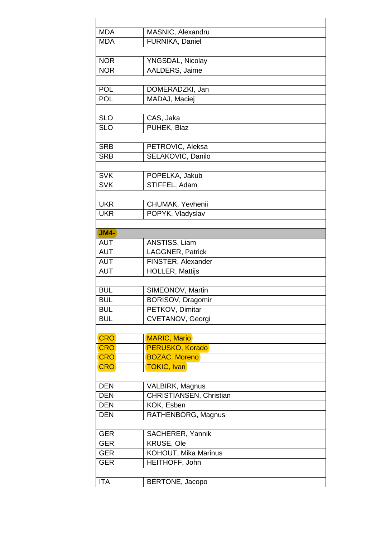| <b>MDA</b>  | MASNIC, Alexandru                            |
|-------------|----------------------------------------------|
| <b>MDA</b>  | FURNIKA, Daniel                              |
|             |                                              |
| <b>NOR</b>  | YNGSDAL, Nicolay                             |
| <b>NOR</b>  | AALDERS, Jaime                               |
|             |                                              |
| <b>POL</b>  | DOMERADZKI, Jan                              |
| <b>POL</b>  | MADAJ, Maciej                                |
|             |                                              |
| <b>SLO</b>  | CAS, Jaka                                    |
| <b>SLO</b>  | PUHEK, Blaz                                  |
|             |                                              |
| <b>SRB</b>  | PETROVIC, Aleksa                             |
| <b>SRB</b>  | SELAKOVIC, Danilo                            |
|             |                                              |
| <b>SVK</b>  | POPELKA, Jakub                               |
| <b>SVK</b>  | STIFFEL, Adam                                |
|             |                                              |
| <b>UKR</b>  | CHUMAK, Yevhenii                             |
| <b>UKR</b>  | POPYK, Vladyslav                             |
|             |                                              |
| <b>JM4-</b> |                                              |
| <b>AUT</b>  | ANSTISS, Liam                                |
| <b>AUT</b>  | LAGGNER, Patrick                             |
| <b>AUT</b>  | FINSTER, Alexander                           |
| <b>AUT</b>  | <b>HOLLER, Mattijs</b>                       |
|             |                                              |
| <b>BUL</b>  |                                              |
| <b>BUL</b>  | SIMEONOV, Martin<br><b>BORISOV, Dragomir</b> |
|             |                                              |
| BUL         | PETKOV, Dimitar                              |
| <b>BUL</b>  | CVETANOV, Georgi                             |
|             |                                              |
| <b>CRO</b>  | <b>MARIC, Mario</b>                          |
| <b>CRO</b>  | <b>PERUSKO, Korado</b>                       |
| <b>CRO</b>  | <b>BOZAC, Moreno</b>                         |
| <b>CRO</b>  | <b>TOKIC, Ivan</b>                           |
|             |                                              |
| <b>DEN</b>  | VALBIRK, Magnus                              |
| <b>DEN</b>  | CHRISTIANSEN, Christian                      |
| <b>DEN</b>  | KOK, Esben                                   |
| <b>DEN</b>  | RATHENBORG, Magnus                           |
|             |                                              |
| <b>GER</b>  | SACHERER, Yannik                             |
| <b>GER</b>  | KRUSE, Ole                                   |
| <b>GER</b>  | KOHOUT, Mika Marinus                         |
| <b>GER</b>  | HEITHOFF, John                               |
|             |                                              |
| <b>ITA</b>  | BERTONE, Jacopo                              |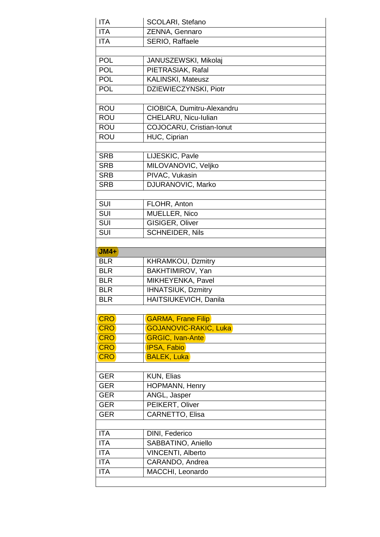| <b>ITA</b> | SCOLARI, Stefano             |
|------------|------------------------------|
| <b>ITA</b> | ZENNA, Gennaro               |
| <b>ITA</b> | SERIO, Raffaele              |
|            |                              |
| <b>POL</b> | JANUSZEWSKI, Mikolaj         |
| <b>POL</b> | PIETRASIAK, Rafal            |
| <b>POL</b> | KALINSKI, Mateusz            |
| <b>POL</b> | DZIEWIECZYNSKI, Piotr        |
|            |                              |
| <b>ROU</b> | CIOBICA, Dumitru-Alexandru   |
| <b>ROU</b> | CHELARU, Nicu-Iulian         |
| <b>ROU</b> | COJOCARU, Cristian-Ionut     |
| <b>ROU</b> | HUC, Ciprian                 |
|            |                              |
| <b>SRB</b> | LIJESKIC, Pavle              |
| <b>SRB</b> | MILOVANOVIC, Veljko          |
| <b>SRB</b> | PIVAC, Vukasin               |
| <b>SRB</b> | <b>DJURANOVIC, Marko</b>     |
|            |                              |
| SUI        | FLOHR, Anton                 |
| <b>SUI</b> | MUELLER, Nico                |
| <b>SUI</b> | GISIGER, Oliver              |
| SUI        | <b>SCHNEIDER, Nils</b>       |
|            |                              |
|            |                              |
| $JMA+$     |                              |
| <b>BLR</b> | KHRAMKOU, Dzmitry            |
| <b>BLR</b> | BAKHTIMIROV, Yan             |
| <b>BLR</b> | MIKHEYENKA, Pavel            |
| <b>BLR</b> | <b>IHNATSIUK, Dzmitry</b>    |
| <b>BLR</b> | HAITSIUKEVICH, Danila        |
|            |                              |
| <b>CRO</b> | <b>GARMA, Frane Filip</b>    |
| <b>CRO</b> | <b>GOJANOVIC-RAKIC, Luka</b> |
| <b>CRO</b> | <b>GRGIC, Ivan-Ante</b>      |
| <b>CRO</b> | <b>IPSA, Fabio</b>           |
| <b>CRO</b> | <b>BALEK, Luka</b>           |
|            |                              |
| <b>GER</b> | KUN, Elias                   |
| <b>GER</b> | <b>HOPMANN, Henry</b>        |
| <b>GER</b> | ANGL, Jasper                 |
| <b>GER</b> | PEIKERT, Oliver              |
| <b>GER</b> | <b>CARNETTO, Elisa</b>       |
|            |                              |
| <b>ITA</b> | DINI, Federico               |
| <b>ITA</b> | SABBATINO, Aniello           |
| <b>ITA</b> | <b>VINCENTI, Alberto</b>     |
| <b>ITA</b> | CARANDO, Andrea              |
| <b>ITA</b> | MACCHI, Leonardo             |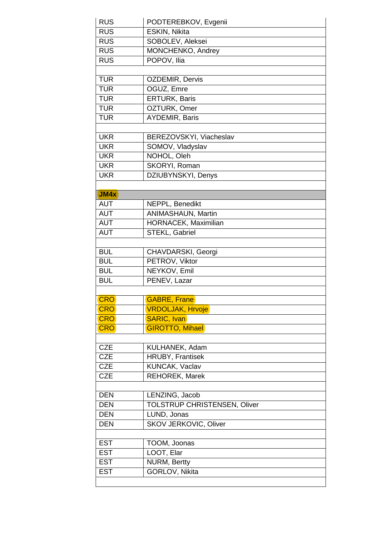| <b>RUS</b> | PODTEREBKOV, Evgenii                |
|------------|-------------------------------------|
| <b>RUS</b> | ESKIN, Nikita                       |
| <b>RUS</b> | SOBOLEV, Aleksei                    |
| <b>RUS</b> | MONCHENKO, Andrey                   |
| <b>RUS</b> | POPOV, Ilia                         |
|            |                                     |
| <b>TUR</b> | OZDEMIR, Dervis                     |
| <b>TUR</b> | OGUZ, Emre                          |
| <b>TUR</b> | <b>ERTURK, Baris</b>                |
| <b>TUR</b> | OZTURK, Omer                        |
| <b>TUR</b> | AYDEMIR, Baris                      |
|            |                                     |
| <b>UKR</b> | BEREZOVSKYI, Viacheslav             |
| <b>UKR</b> | SOMOV, Vladyslav                    |
| <b>UKR</b> | NOHOL, Oleh                         |
| <b>UKR</b> | SKORYI, Roman                       |
| <b>UKR</b> | DZIUBYNSKYI, Denys                  |
|            |                                     |
| JMAX       |                                     |
| <b>AUT</b> | NEPPL, Benedikt                     |
| <b>AUT</b> | ANIMASHAUN, Martin                  |
| <b>AUT</b> | HORNACEK, Maximilian                |
| <b>AUT</b> | STEKL, Gabriel                      |
|            |                                     |
| <b>BUL</b> | CHAVDARSKI, Georgi                  |
| <b>BUL</b> | PETROV, Viktor                      |
| <b>BUL</b> | NEYKOV, Emil                        |
| <b>BUL</b> | PENEV, Lazar                        |
|            |                                     |
| <b>CRO</b> | <b>GABRE, Frane</b>                 |
| <b>CRO</b> | <b>VRDOLJAK, Hrvoje</b>             |
| <b>CRO</b> | <b>SARIC, Ivan</b>                  |
| <b>CRO</b> | <b>GIROTTO, Mihael</b>              |
|            |                                     |
| <b>CZE</b> | KULHANEK, Adam                      |
| <b>CZE</b> | HRUBY, Frantisek                    |
| <b>CZE</b> | KUNCAK, Vaclav                      |
| <b>CZE</b> | <b>REHOREK, Marek</b>               |
|            |                                     |
| <b>DEN</b> | LENZING, Jacob                      |
| <b>DEN</b> | <b>TOLSTRUP CHRISTENSEN, Oliver</b> |
| <b>DEN</b> | LUND, Jonas                         |
| <b>DEN</b> | SKOV JERKOVIC, Oliver               |
| <b>EST</b> |                                     |
| <b>EST</b> | TOOM, Joonas<br>LOOT, Elar          |
| <b>EST</b> | <b>NURM, Bertty</b>                 |
| <b>EST</b> | GORLOV, Nikita                      |
|            |                                     |
|            |                                     |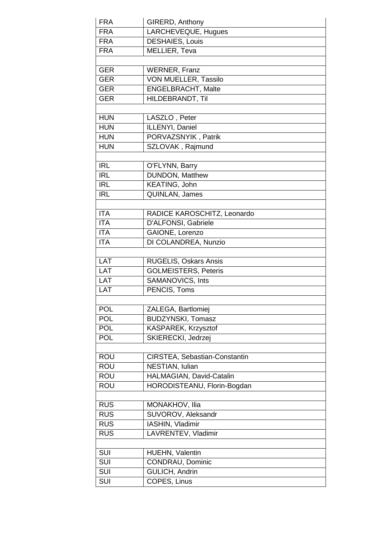| <b>FRA</b> | GIRERD, Anthony               |
|------------|-------------------------------|
| <b>FRA</b> | LARCHEVEQUE, Hugues           |
| <b>FRA</b> | <b>DESHAIES, Louis</b>        |
| <b>FRA</b> | MELLIER, Teva                 |
|            |                               |
| <b>GER</b> | <b>WERNER, Franz</b>          |
| <b>GER</b> | VON MUELLER, Tassilo          |
| <b>GER</b> | <b>ENGELBRACHT, Malte</b>     |
| <b>GER</b> | HILDEBRANDT, Til              |
|            |                               |
| <b>HUN</b> | LASZLO, Peter                 |
| <b>HUN</b> | ILLENYI, Daniel               |
| <b>HUN</b> | PORVAZSNYIK, Patrik           |
| <b>HUN</b> | SZLOVAK, Rajmund              |
|            |                               |
| <b>IRL</b> | O'FLYNN, Barry                |
| <b>IRL</b> | DUNDON, Matthew               |
| <b>IRL</b> | KEATING, John                 |
| <b>IRL</b> | QUINLAN, James                |
|            |                               |
| <b>ITA</b> | RADICE KAROSCHITZ, Leonardo   |
| <b>ITA</b> | D'ALFONSI, Gabriele           |
| <b>ITA</b> | GAIONE, Lorenzo               |
| <b>ITA</b> | DI COLANDREA, Nunzio          |
|            |                               |
| <b>LAT</b> | <b>RUGELIS, Oskars Ansis</b>  |
| LAT        | <b>GOLMEISTERS, Peteris</b>   |
| <b>LAT</b> | SAMANOVICS, Ints              |
| LAT        | PENCIS, Toms                  |
|            |                               |
| <b>POL</b> | ZALEGA, Bartlomiej            |
| <b>POL</b> | <b>BUDZYNSKI, Tomasz</b>      |
| <b>POL</b> | KASPAREK, Krzysztof           |
| <b>POL</b> | SKIERECKI, Jedrzej            |
|            |                               |
| <b>ROU</b> | CIRSTEA, Sebastian-Constantin |
| <b>ROU</b> | NESTIAN, Iulian               |
| <b>ROU</b> | HALMAGIAN, David-Catalin      |
| <b>ROU</b> | HORODISTEANU, Florin-Bogdan   |
|            |                               |
| <b>RUS</b> | MONAKHOV, Ilia                |
| <b>RUS</b> | SUVOROV, Aleksandr            |
| <b>RUS</b> | IASHIN, Vladimir              |
| <b>RUS</b> | LAVRENTEV, Vladimir           |
|            |                               |
| SUI        | HUEHN, Valentin               |
| SUI        | CONDRAU, Dominic              |
| SUI        |                               |
|            | GULICH, Andrin                |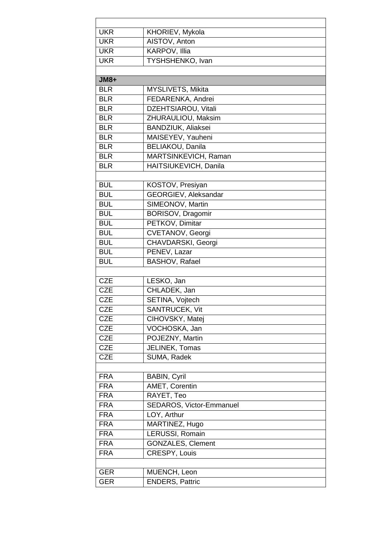| <b>UKR</b>               | KHORIEV, Mykola           |
|--------------------------|---------------------------|
| <b>UKR</b>               | AISTOV, Anton             |
| <b>UKR</b>               | KARPOV, Illia             |
| <b>UKR</b>               | TYSHSHENKO, Ivan          |
|                          |                           |
| <b>JM8+</b>              |                           |
| <b>BLR</b>               | MYSLIVETS, Mikita         |
| <b>BLR</b>               | FEDARENKA, Andrei         |
| <b>BLR</b>               | DZEHTSIAROU, Vitali       |
| <b>BLR</b>               | ZHURAULIOU, Maksim        |
| <b>BLR</b>               | <b>BANDZIUK, Aliaksei</b> |
| <b>BLR</b>               | MAISEYEV, Yauheni         |
| <b>BLR</b>               | BELIAKOU, Danila          |
| <b>BLR</b>               | MARTSINKEVICH, Raman      |
| <b>BLR</b>               | HAITSIUKEVICH, Danila     |
|                          |                           |
| <b>BUL</b>               | KOSTOV, Presiyan          |
| <b>BUL</b>               | GEORGIEV, Aleksandar      |
| <b>BUL</b>               | SIMEONOV, Martin          |
| <b>BUL</b>               | <b>BORISOV, Dragomir</b>  |
| <b>BUL</b>               | PETKOV, Dimitar           |
| <b>BUL</b>               | CVETANOV, Georgi          |
| <b>BUL</b>               | CHAVDARSKI, Georgi        |
| <b>BUL</b>               | PENEV, Lazar              |
| <b>BUL</b>               | <b>BASHOV, Rafael</b>     |
|                          |                           |
| <b>CZE</b>               | LESKO, Jan                |
| <b>CZE</b>               | CHLADEK, Jan              |
| <b>CZE</b>               | <b>SETINA, Vojtech</b>    |
| <b>CZE</b>               | SANTRUCEK, Vit            |
| <b>CZE</b>               | CIHOVSKY, Matej           |
| <b>CZE</b>               | VOCHOSKA, Jan             |
| <b>CZE</b>               | POJEZNY, Martin           |
| <b>CZE</b>               | JELINEK, Tomas            |
| <b>CZE</b>               | SUMA, Radek               |
|                          |                           |
| <b>FRA</b>               | <b>BABIN, Cyril</b>       |
| <b>FRA</b>               | AMET, Corentin            |
| <b>FRA</b>               | RAYET, Teo                |
| <b>FRA</b>               | SEDAROS, Victor-Emmanuel  |
| <b>FRA</b><br><b>FRA</b> | LOY, Arthur               |
|                          | MARTINEZ, Hugo            |
| <b>FRA</b>               | LERUSSI, Romain           |
| <b>FRA</b>               | <b>GONZALES, Clement</b>  |
| <b>FRA</b>               | <b>CRESPY, Louis</b>      |
|                          |                           |
| <b>GER</b>               | MUENCH, Leon              |
| <b>GER</b>               | <b>ENDERS, Pattric</b>    |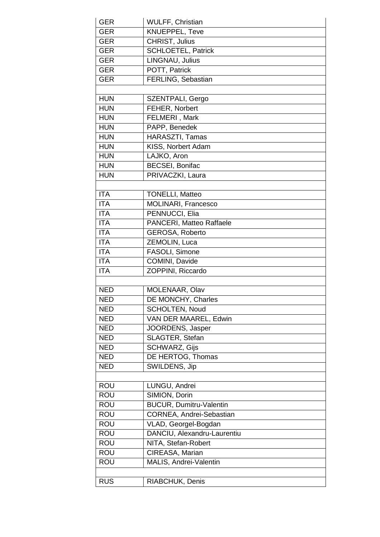| <b>GER</b> | <b>WULFF, Christian</b>        |
|------------|--------------------------------|
| <b>GER</b> | <b>KNUEPPEL, Teve</b>          |
| <b>GER</b> | CHRIST, Julius                 |
| <b>GER</b> | <b>SCHLOETEL, Patrick</b>      |
| <b>GER</b> | LINGNAU, Julius                |
| <b>GER</b> | POTT, Patrick                  |
| <b>GER</b> | FERLING, Sebastian             |
|            |                                |
| <b>HUN</b> | SZENTPALI, Gergo               |
| <b>HUN</b> | FEHER, Norbert                 |
| <b>HUN</b> | FELMERI, Mark                  |
| <b>HUN</b> | PAPP, Benedek                  |
| <b>HUN</b> | HARASZTI, Tamas                |
| <b>HUN</b> | KISS, Norbert Adam             |
| <b>HUN</b> | LAJKO, Aron                    |
| <b>HUN</b> | <b>BECSEI, Bonifac</b>         |
| <b>HUN</b> | PRIVACZKI, Laura               |
|            |                                |
| <b>ITA</b> | <b>TONELLI, Matteo</b>         |
| <b>ITA</b> | MOLINARI, Francesco            |
| <b>ITA</b> | PENNUCCI, Elia                 |
| <b>ITA</b> | PANCERI, Matteo Raffaele       |
| <b>ITA</b> | <b>GEROSA, Roberto</b>         |
| <b>ITA</b> | ZEMOLIN, Luca                  |
| <b>ITA</b> | FASOLI, Simone                 |
| <b>ITA</b> | COMINI, Davide                 |
| <b>ITA</b> | ZOPPINI, Riccardo              |
|            |                                |
| <b>NED</b> | MOLENAAR, Olav                 |
| <b>NED</b> | DE MONCHY, Charles             |
| <b>NED</b> | <b>SCHOLTEN, Noud</b>          |
| <b>NED</b> | VAN DER MAAREL, Edwin          |
| <b>NED</b> | JOORDENS, Jasper               |
| <b>NED</b> | SLAGTER, Stefan                |
| <b>NED</b> | <b>SCHWARZ, Gijs</b>           |
| <b>NED</b> | DE HERTOG, Thomas              |
| <b>NED</b> | SWILDENS, Jip                  |
|            |                                |
| <b>ROU</b> | LUNGU, Andrei                  |
| <b>ROU</b> | SIMION, Dorin                  |
| <b>ROU</b> | <b>BUCUR, Dumitru-Valentin</b> |
| <b>ROU</b> | CORNEA, Andrei-Sebastian       |
| <b>ROU</b> | VLAD, Georgel-Bogdan           |
| <b>ROU</b> | DANCIU, Alexandru-Laurentiu    |
| <b>ROU</b> | NITA, Stefan-Robert            |
| <b>ROU</b> | CIREASA, Marian                |
| <b>ROU</b> | MALIS, Andrei-Valentin         |
|            |                                |
| <b>RUS</b> | RIABCHUK, Denis                |
|            |                                |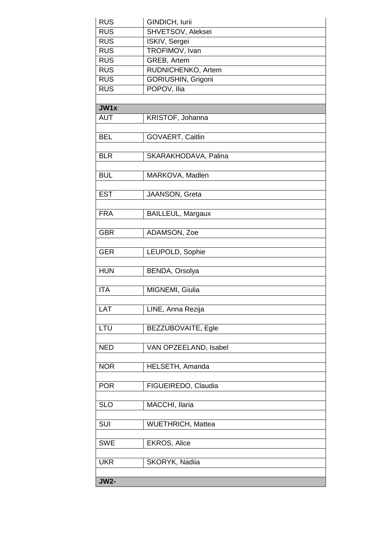| <b>RUS</b>  | GINDICH, lurii             |
|-------------|----------------------------|
| <b>RUS</b>  | SHVETSOV, Aleksei          |
| <b>RUS</b>  | ISKIV, Sergei              |
| <b>RUS</b>  | TROFIMOV, Ivan             |
| <b>RUS</b>  | GREB, Artem                |
| <b>RUS</b>  | RUDNICHENKO, Artem         |
| <b>RUS</b>  | <b>GORIUSHIN, Grigorii</b> |
| <b>RUS</b>  | POPOV, Ilia                |
|             |                            |
| JW1x        |                            |
| <b>AUT</b>  | KRISTOF, Johanna           |
|             |                            |
| <b>BEL</b>  | GOVAERT, Caitlin           |
|             |                            |
| <b>BLR</b>  | SKARAKHODAVA, Palina       |
|             |                            |
| <b>BUL</b>  | MARKOVA, Madlen            |
|             |                            |
| <b>EST</b>  | JAANSON, Greta             |
|             |                            |
| <b>FRA</b>  | <b>BAILLEUL, Margaux</b>   |
|             |                            |
| <b>GBR</b>  | ADAMSON, Zoe               |
|             |                            |
| <b>GER</b>  | LEUPOLD, Sophie            |
|             |                            |
| <b>HUN</b>  | BENDA, Orsolya             |
|             |                            |
| <b>ITA</b>  | MIGNEMI, Giulia            |
|             |                            |
| LAT         | LINE, Anna Rezija          |
|             |                            |
| LTU         | BEZZUBOVAITE, Egle         |
|             |                            |
| <b>NED</b>  | VAN OPZEELAND, Isabel      |
|             |                            |
| <b>NOR</b>  | HELSETH, Amanda            |
|             |                            |
| <b>POR</b>  | FIGUEIREDO, Claudia        |
|             |                            |
| <b>SLO</b>  | MACCHI, Ilaria             |
|             |                            |
| SUI         | WUETHRICH, Mattea          |
|             |                            |
| <b>SWE</b>  | EKROS, Alice               |
|             |                            |
| <b>UKR</b>  | SKORYK, Nadiia             |
|             |                            |
| <b>JW2-</b> |                            |
|             |                            |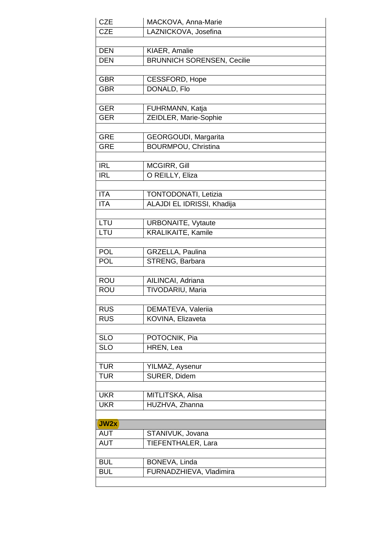| <b>CZE</b>               | MACKOVA, Anna-Marie                      |
|--------------------------|------------------------------------------|
| <b>CZE</b>               | LAZNICKOVA, Josefina                     |
|                          |                                          |
| <b>DEN</b>               | KIAER, Amalie                            |
| <b>DEN</b>               | <b>BRUNNICH SORENSEN, Cecilie</b>        |
|                          |                                          |
| <b>GBR</b>               | <b>CESSFORD, Hope</b>                    |
| <b>GBR</b>               | DONALD, Flo                              |
|                          |                                          |
| <b>GER</b>               | FUHRMANN, Katja                          |
| <b>GER</b>               | ZEIDLER, Marie-Sophie                    |
|                          |                                          |
| <b>GRE</b>               | GEORGOUDI, Margarita                     |
| <b>GRE</b>               | <b>BOURMPOU, Christina</b>               |
|                          |                                          |
| <b>IRL</b>               | <b>MCGIRR, Gill</b>                      |
| <b>IRL</b>               | O REILLY, Eliza                          |
|                          |                                          |
| <b>ITA</b>               | TONTODONATI, Letizia                     |
| <b>ITA</b>               | ALAJDI EL IDRISSI, Khadija               |
|                          |                                          |
| LTU                      | <b>URBONAITE, Vytaute</b>                |
| LTU                      | <b>KRALIKAITE, Kamile</b>                |
|                          |                                          |
| <b>POL</b>               | GRZELLA, Paulina                         |
| <b>POL</b>               | STRENG, Barbara                          |
|                          |                                          |
| <b>ROU</b>               | AILINCAI, Adriana                        |
| <b>ROU</b>               | TIVODARIU, Maria                         |
|                          |                                          |
| <b>RUS</b>               | DEMATEVA, Valeriia                       |
| <b>RUS</b>               | KOVINA, Elizaveta                        |
|                          |                                          |
| <b>SLO</b>               | POTOCNIK, Pia                            |
| <b>SLO</b>               | HREN, Lea                                |
|                          |                                          |
| <b>TUR</b>               | YILMAZ, Aysenur                          |
| <b>TUR</b>               | SURER, Didem                             |
|                          |                                          |
| <b>UKR</b>               | MITLITSKA, Alisa                         |
| <b>UKR</b>               | HUZHVA, Zhanna                           |
|                          |                                          |
| JW2x                     |                                          |
| <b>AUT</b>               | STANIVUK, Jovana                         |
| <b>AUT</b>               | TIEFENTHALER, Lara                       |
|                          |                                          |
| <b>BUL</b><br><b>BUL</b> | BONEVA, Linda<br>FURNADZHIEVA, Vladimira |
|                          |                                          |
|                          |                                          |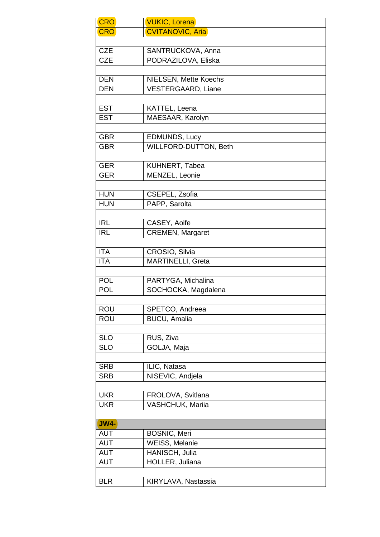| <b>CRO</b>  | <b>VUKIC, Lorena</b>         |
|-------------|------------------------------|
| <b>CRO</b>  | <b>CVITANOVIC, Aria</b>      |
|             |                              |
| <b>CZE</b>  | SANTRUCKOVA, Anna            |
| <b>CZE</b>  | PODRAZILOVA, Eliska          |
|             |                              |
| <b>DEN</b>  | NIELSEN, Mette Koechs        |
| <b>DEN</b>  | <b>VESTERGAARD, Liane</b>    |
|             |                              |
| <b>EST</b>  | KATTEL, Leena                |
| <b>EST</b>  | MAESAAR, Karolyn             |
|             |                              |
| <b>GBR</b>  | EDMUNDS, Lucy                |
| <b>GBR</b>  | <b>WILLFORD-DUTTON, Beth</b> |
|             |                              |
| <b>GER</b>  | KUHNERT, Tabea               |
| <b>GER</b>  | MENZEL, Leonie               |
|             |                              |
| <b>HUN</b>  | CSEPEL, Zsofia               |
| <b>HUN</b>  | PAPP, Sarolta                |
| <b>IRL</b>  |                              |
|             | CASEY, Aoife                 |
| <b>IRL</b>  | <b>CREMEN, Margaret</b>      |
| <b>ITA</b>  | CROSIO, Silvia               |
| <b>ITA</b>  | MARTINELLI, Greta            |
|             |                              |
| <b>POL</b>  | PARTYGA, Michalina           |
| <b>POL</b>  | SOCHOCKA, Magdalena          |
|             |                              |
| <b>ROU</b>  | SPETCO, Andreea              |
| <b>ROU</b>  | <b>BUCU, Amalia</b>          |
|             |                              |
| <b>SLO</b>  | RUS, Ziva                    |
| <b>SLO</b>  | GOLJA, Maja                  |
|             |                              |
| <b>SRB</b>  | ILIC, Natasa                 |
| <b>SRB</b>  | NISEVIC, Andjela             |
|             |                              |
| <b>UKR</b>  | FROLOVA, Svitlana            |
| <b>UKR</b>  | VASHCHUK, Mariia             |
|             |                              |
| <b>JW4-</b> |                              |
| <b>AUT</b>  | <b>BOSNIC, Meri</b>          |
| <b>AUT</b>  | <b>WEISS, Melanie</b>        |
| <b>AUT</b>  | HANISCH, Julia               |
| <b>AUT</b>  | HOLLER, Juliana              |
|             |                              |
| <b>BLR</b>  | KIRYLAVA, Nastassia          |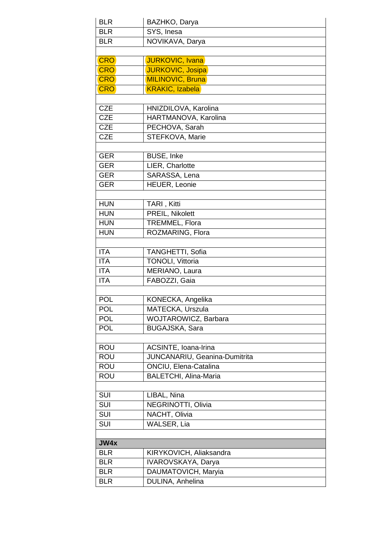| <b>BLR</b>              | BAZHKO, Darya                 |  |
|-------------------------|-------------------------------|--|
| <b>BLR</b>              | SYS, Inesa                    |  |
| <b>BLR</b>              | NOVIKAVA, Darya               |  |
|                         |                               |  |
| <b>CRO</b>              | JURKOVIC, Ivana               |  |
| <b>CRO</b>              | <b>JURKOVIC, Josipa</b>       |  |
| <b>CRO</b>              | MILINOVIC, Bruna              |  |
| <b>CRO</b>              | <b>KRAKIC, Izabela</b>        |  |
|                         |                               |  |
| <b>CZE</b>              | HNIZDILOVA, Karolina          |  |
| <b>CZE</b>              | HARTMANOVA, Karolina          |  |
| <b>CZE</b>              | PECHOVA, Sarah                |  |
| <b>CZE</b>              | STEFKOVA, Marie               |  |
|                         |                               |  |
| <b>GER</b>              | <b>BUSE, Inke</b>             |  |
| <b>GER</b>              | LIER, Charlotte               |  |
| <b>GER</b>              | SARASSA, Lena                 |  |
| <b>GER</b>              | HEUER, Leonie                 |  |
|                         |                               |  |
| <b>HUN</b>              | TARI, Kitti                   |  |
| <b>HUN</b>              | <b>PREIL, Nikolett</b>        |  |
| <b>HUN</b>              | TREMMEL, Flora                |  |
| <b>HUN</b>              | ROZMARING, Flora              |  |
|                         |                               |  |
| <b>ITA</b>              | TANGHETTI, Sofia              |  |
| <b>ITA</b>              | <b>TONOLI, Vittoria</b>       |  |
| <b>ITA</b>              | MERIANO, Laura                |  |
| <b>ITA</b>              | FABOZZI, Gaia                 |  |
|                         |                               |  |
| <b>POL</b>              | KONECKA, Angelika             |  |
| <b>POL</b>              | MATECKA, Urszula              |  |
| <b>POL</b>              | WOJTAROWICZ, Barbara          |  |
| <b>POL</b>              | <b>BUGAJSKA, Sara</b>         |  |
|                         |                               |  |
| <b>ROU</b>              | ACSINTE, Ioana-Irina          |  |
| <b>ROU</b>              | JUNCANARIU, Geanina-Dumitrita |  |
| <b>ROU</b>              | ONCIU, Elena-Catalina         |  |
| <b>ROU</b>              | <b>BALETCHI</b> , Alina-Maria |  |
|                         |                               |  |
| SUI                     | LIBAL, Nina                   |  |
| SUI                     | NEGRINOTTI, Olivia            |  |
| $\overline{\text{SUI}}$ | NACHT, Olivia                 |  |
| SUI                     | WALSER, Lia                   |  |
|                         |                               |  |
| JW4x                    |                               |  |
| <b>BLR</b>              | KIRYKOVICH, Aliaksandra       |  |
| <b>BLR</b>              | IVAROVSKAYA, Darya            |  |
| <b>BLR</b>              | DAUMATOVICH, Maryia           |  |
| <b>BLR</b>              | DULINA, Anhelina              |  |
|                         |                               |  |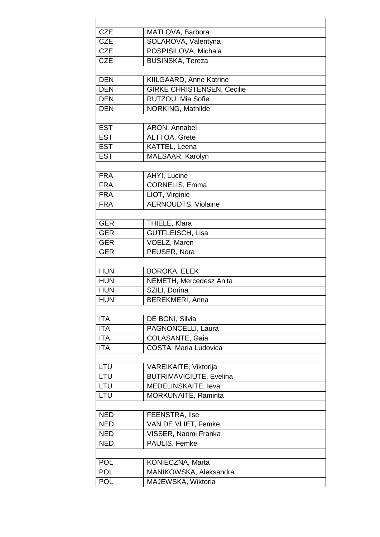| <b>CZE</b> | MATLOVA, Barbora                  |
|------------|-----------------------------------|
| <b>CZE</b> | SOLAROVA, Valentyna               |
| <b>CZE</b> | POSPISILOVA, Michala              |
| <b>CZE</b> | <b>BUSINSKA, Tereza</b>           |
|            |                                   |
| <b>DEN</b> | KIILGAARD, Anne Katrine           |
| <b>DEN</b> | <b>GIRKE CHRISTENSEN, Cecilie</b> |
| <b>DEN</b> | RUTZOU, Mia Sofie                 |
| <b>DEN</b> | NORKING, Mathilde                 |
|            |                                   |
| <b>EST</b> | ARON, Annabel                     |
| <b>EST</b> | ALTTOA, Grete                     |
| <b>EST</b> | KATTEL, Leena                     |
| <b>EST</b> | MAESAAR, Karolyn                  |
|            |                                   |
| <b>FRA</b> | AHYI, Lucine                      |
| <b>FRA</b> | CORNELIS, Emma                    |
| <b>FRA</b> | LIOT, Virginie                    |
| <b>FRA</b> | <b>AERNOUDTS, Violaine</b>        |
|            |                                   |
| <b>GER</b> | THIELE, Klara                     |
| <b>GER</b> | <b>GUTFLEISCH, Lisa</b>           |
| <b>GER</b> | VOELZ, Maren                      |
| <b>GER</b> | PEUSER, Nora                      |
|            |                                   |
| <b>HUN</b> | <b>BOROKA, ELEK</b>               |
| <b>HUN</b> | NEMETH, Mercedesz Anita           |
| <b>HUN</b> | SZILI, Dorina                     |
| <b>HUN</b> | <b>BEREKMERI, Anna</b>            |
|            |                                   |
| <b>ITA</b> | DE BONI, Silvia                   |
| <b>ITA</b> | PAGNONCELLI, Laura                |
| <b>ITA</b> | COLASANTE, Gaia                   |
| <b>ITA</b> | COSTA, Maria Ludovica             |
|            |                                   |
| LTU        | VAREIKAITE, Viktorija             |
| LTU        | <b>BUTRIMAVICIUTE, Evelina</b>    |
| LTU        | MEDELINSKAITE, leva               |
| LTU        | MORKUNAITE, Raminta               |
|            |                                   |
| <b>NED</b> | FEENSTRA, Ilse                    |
| <b>NED</b> | VAN DE VLIET, Femke               |
| <b>NED</b> | VISSER, Naomi Franka              |
| <b>NED</b> | PAULIS, Femke                     |
|            |                                   |
| <b>POL</b> | KONIECZNA, Marta                  |
| <b>POL</b> | MANIKOWSKA, Aleksandra            |
| <b>POL</b> | MAJEWSKA, Wiktoria                |
|            |                                   |